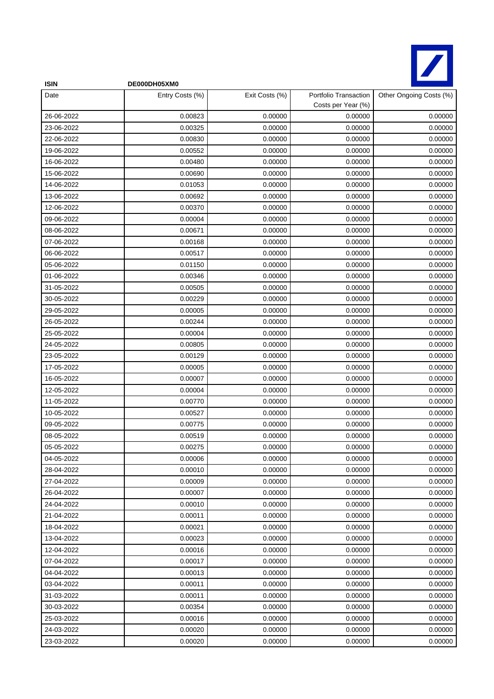

| <b>ISIN</b> | DE000DH05XM0    |                |                                             |                         |
|-------------|-----------------|----------------|---------------------------------------------|-------------------------|
| Date        | Entry Costs (%) | Exit Costs (%) | Portfolio Transaction<br>Costs per Year (%) | Other Ongoing Costs (%) |
| 26-06-2022  | 0.00823         | 0.00000        | 0.00000                                     | 0.00000                 |
| 23-06-2022  | 0.00325         | 0.00000        | 0.00000                                     | 0.00000                 |
| 22-06-2022  | 0.00830         | 0.00000        | 0.00000                                     | 0.00000                 |
| 19-06-2022  | 0.00552         | 0.00000        | 0.00000                                     | 0.00000                 |
| 16-06-2022  | 0.00480         | 0.00000        | 0.00000                                     | 0.00000                 |
| 15-06-2022  | 0.00690         | 0.00000        | 0.00000                                     | 0.00000                 |
| 14-06-2022  | 0.01053         | 0.00000        | 0.00000                                     | 0.00000                 |
| 13-06-2022  | 0.00692         | 0.00000        | 0.00000                                     | 0.00000                 |
| 12-06-2022  | 0.00370         | 0.00000        | 0.00000                                     | 0.00000                 |
| 09-06-2022  | 0.00004         | 0.00000        | 0.00000                                     | 0.00000                 |
| 08-06-2022  | 0.00671         | 0.00000        | 0.00000                                     | 0.00000                 |
| 07-06-2022  | 0.00168         | 0.00000        | 0.00000                                     | 0.00000                 |
| 06-06-2022  | 0.00517         | 0.00000        | 0.00000                                     | 0.00000                 |
| 05-06-2022  | 0.01150         | 0.00000        | 0.00000                                     | 0.00000                 |
| 01-06-2022  | 0.00346         | 0.00000        | 0.00000                                     | 0.00000                 |
| 31-05-2022  | 0.00505         | 0.00000        | 0.00000                                     | 0.00000                 |
| 30-05-2022  | 0.00229         | 0.00000        | 0.00000                                     | 0.00000                 |
| 29-05-2022  | 0.00005         | 0.00000        | 0.00000                                     | 0.00000                 |
| 26-05-2022  | 0.00244         | 0.00000        | 0.00000                                     | 0.00000                 |
| 25-05-2022  | 0.00004         | 0.00000        | 0.00000                                     | 0.00000                 |
| 24-05-2022  | 0.00805         | 0.00000        | 0.00000                                     | 0.00000                 |
| 23-05-2022  | 0.00129         | 0.00000        | 0.00000                                     | 0.00000                 |
| 17-05-2022  | 0.00005         | 0.00000        | 0.00000                                     | 0.00000                 |
| 16-05-2022  | 0.00007         | 0.00000        | 0.00000                                     | 0.00000                 |
| 12-05-2022  | 0.00004         | 0.00000        | 0.00000                                     | 0.00000                 |
| 11-05-2022  | 0.00770         | 0.00000        | 0.00000                                     | 0.00000                 |
| 10-05-2022  | 0.00527         | 0.00000        | 0.00000                                     | 0.00000                 |
| 09-05-2022  | 0.00775         | 0.00000        | 0.00000                                     | 0.00000                 |
| 08-05-2022  | 0.00519         | 0.00000        | 0.00000                                     | 0.00000                 |
| 05-05-2022  | 0.00275         | 0.00000        | 0.00000                                     | 0.00000                 |
| 04-05-2022  | 0.00006         | 0.00000        | 0.00000                                     | 0.00000                 |
| 28-04-2022  | 0.00010         | 0.00000        | 0.00000                                     | 0.00000                 |
| 27-04-2022  | 0.00009         | 0.00000        | 0.00000                                     | 0.00000                 |
| 26-04-2022  | 0.00007         | 0.00000        | 0.00000                                     | 0.00000                 |
| 24-04-2022  | 0.00010         | 0.00000        | 0.00000                                     | 0.00000                 |
| 21-04-2022  | 0.00011         | 0.00000        | 0.00000                                     | 0.00000                 |
| 18-04-2022  | 0.00021         | 0.00000        | 0.00000                                     | 0.00000                 |
| 13-04-2022  | 0.00023         | 0.00000        | 0.00000                                     | 0.00000                 |
| 12-04-2022  | 0.00016         | 0.00000        | 0.00000                                     | 0.00000                 |
| 07-04-2022  | 0.00017         | 0.00000        | 0.00000                                     | 0.00000                 |
| 04-04-2022  | 0.00013         | 0.00000        | 0.00000                                     | 0.00000                 |
| 03-04-2022  | 0.00011         | 0.00000        | 0.00000                                     | 0.00000                 |
| 31-03-2022  | 0.00011         | 0.00000        | 0.00000                                     | 0.00000                 |
| 30-03-2022  | 0.00354         | 0.00000        | 0.00000                                     | 0.00000                 |
| 25-03-2022  | 0.00016         | 0.00000        | 0.00000                                     | 0.00000                 |
| 24-03-2022  | 0.00020         | 0.00000        | 0.00000                                     | 0.00000                 |
| 23-03-2022  | 0.00020         | 0.00000        | 0.00000                                     | 0.00000                 |